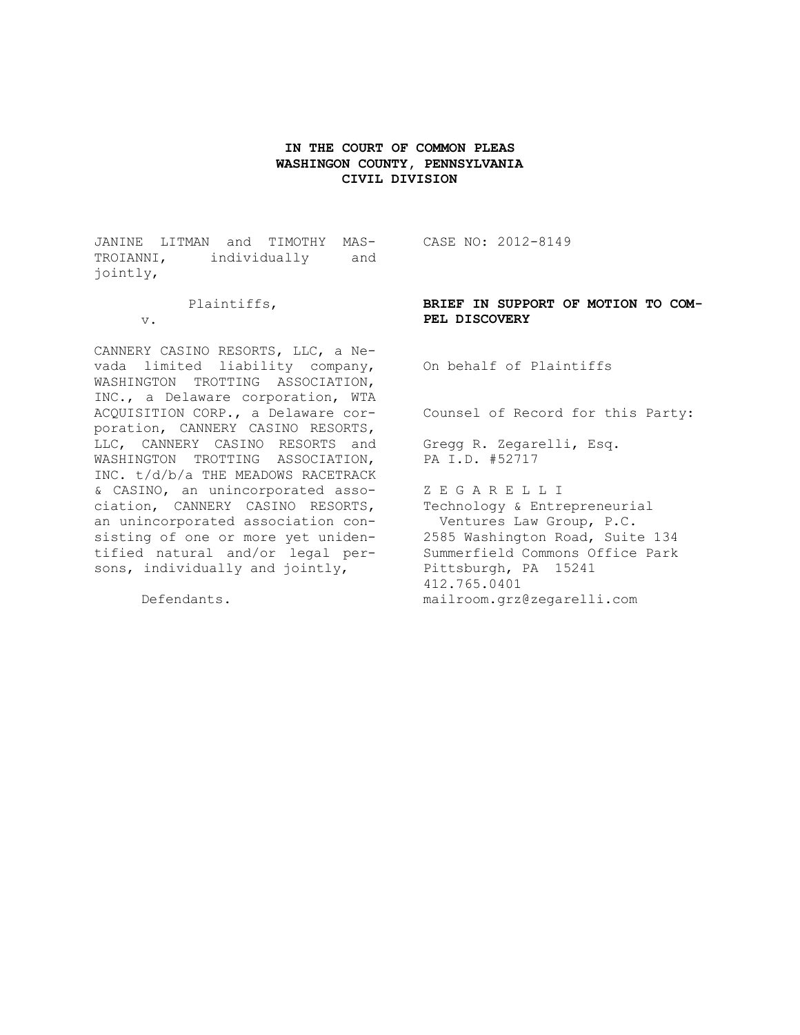## **IN THE COURT OF COMMON PLEAS WASHINGON COUNTY, PENNSYLVANIA CIVIL DIVISION**

JANINE LITMAN and TIMOTHY MAS-CASE NO: 2012-8149 TROIANNI, individually and jointly,

Plaintiffs,

v.

CANNERY CASINO RESORTS, LLC, a Nevada limited liability company, WASHINGTON TROTTING ASSOCIATION, INC., a Delaware corporation, WTA ACQUISITION CORP., a Delaware corporation, CANNERY CASINO RESORTS, LLC, CANNERY CASINO RESORTS and WASHINGTON TROTTING ASSOCIATION, INC. t/d/b/a THE MEADOWS RACETRACK & CASINO, an unincorporated association, CANNERY CASINO RESORTS, an unincorporated association consisting of one or more yet unidentified natural and/or legal persons, individually and jointly,

Defendants.

**BRIEF IN SUPPORT OF MOTION TO COM-PEL DISCOVERY**

On behalf of Plaintiffs

Counsel of Record for this Party:

Gregg R. Zegarelli, Esq. PA I.D. #52717

Z E G A R E L L I Technology & Entrepreneurial Ventures Law Group, P.C. 2585 Washington Road, Suite 134 Summerfield Commons Office Park Pittsburgh, PA 15241 412.765.0401 mailroom.grz@zegarelli.com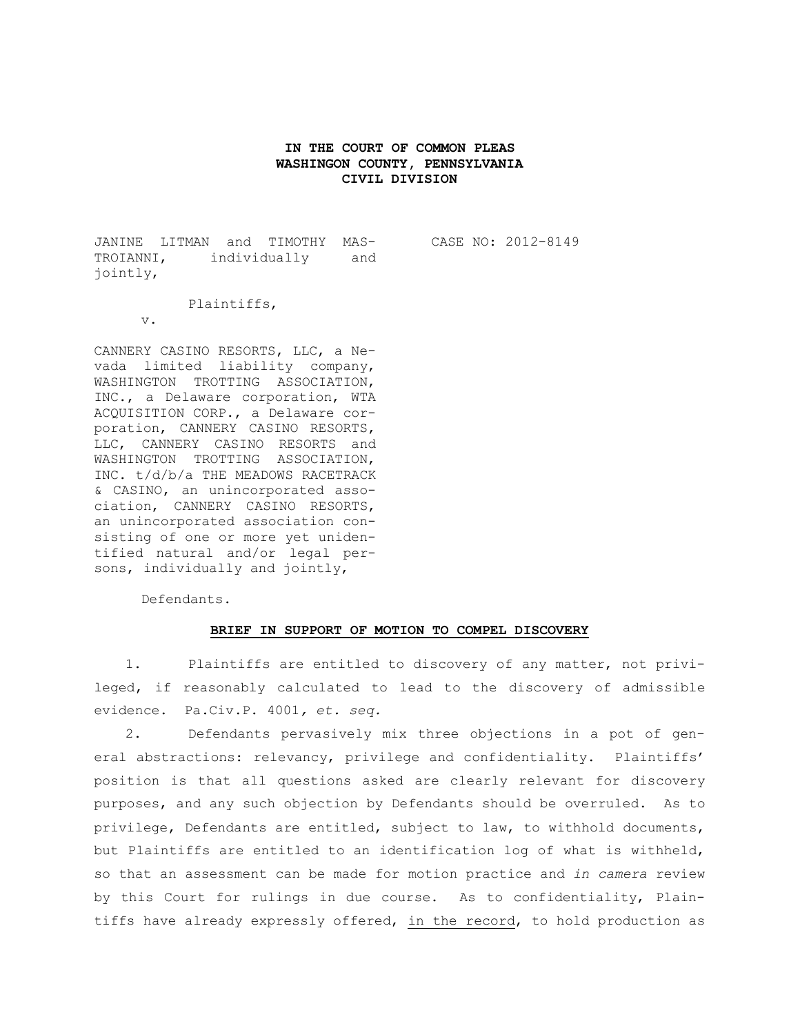## **IN THE COURT OF COMMON PLEAS WASHINGON COUNTY, PENNSYLVANIA CIVIL DIVISION**

JANINE LITMAN and TIMOTHY MAS-TROIANNI, individually and jointly,

CASE NO: 2012-8149

Plaintiffs,

v.

CANNERY CASINO RESORTS, LLC, a Nevada limited liability company, WASHINGTON TROTTING ASSOCIATION, INC., a Delaware corporation, WTA ACQUISITION CORP., a Delaware corporation, CANNERY CASINO RESORTS, LLC, CANNERY CASINO RESORTS and WASHINGTON TROTTING ASSOCIATION, INC. t/d/b/a THE MEADOWS RACETRACK & CASINO, an unincorporated association, CANNERY CASINO RESORTS, an unincorporated association consisting of one or more yet unidentified natural and/or legal persons, individually and jointly,

Defendants.

## **BRIEF IN SUPPORT OF MOTION TO COMPEL DISCOVERY**

1. Plaintiffs are entitled to discovery of any matter, not privileged, if reasonably calculated to lead to the discovery of admissible evidence. Pa.Civ.P. 4001*, et. seq.*

2. Defendants pervasively mix three objections in a pot of general abstractions: relevancy, privilege and confidentiality. Plaintiffs' position is that all questions asked are clearly relevant for discovery purposes, and any such objection by Defendants should be overruled. As to privilege, Defendants are entitled, subject to law, to withhold documents, but Plaintiffs are entitled to an identification log of what is withheld, so that an assessment can be made for motion practice and *in camera* review by this Court for rulings in due course. As to confidentiality, Plaintiffs have already expressly offered, in the record, to hold production as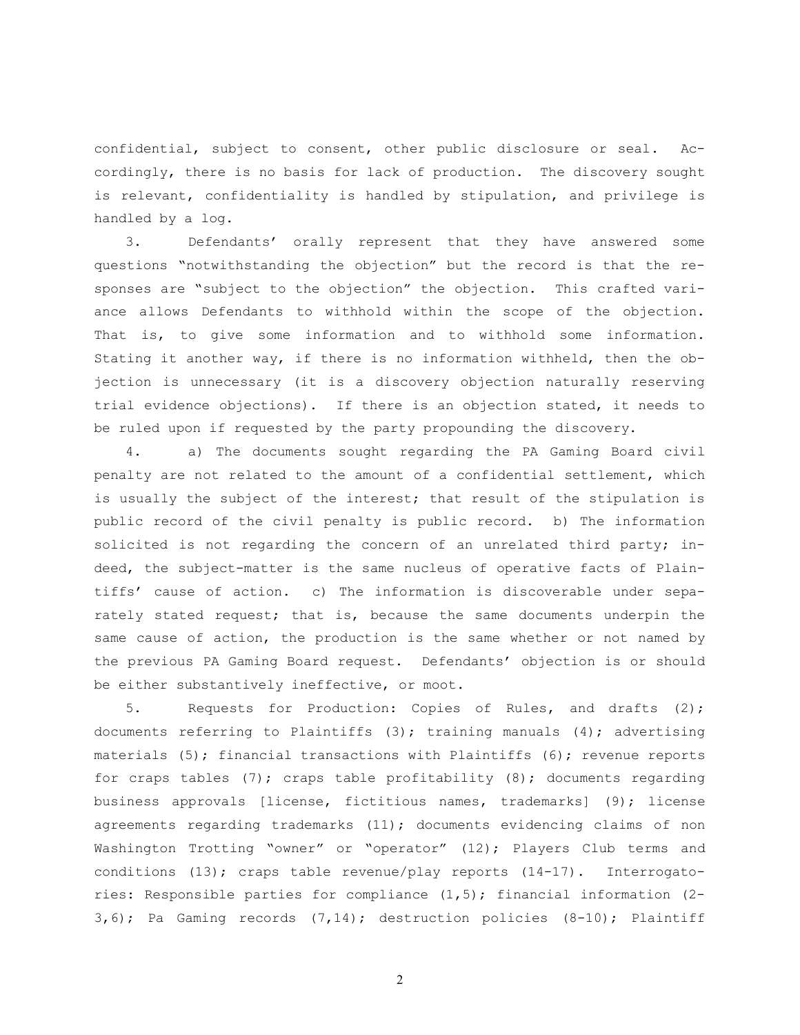confidential, subject to consent, other public disclosure or seal. Accordingly, there is no basis for lack of production. The discovery sought is relevant, confidentiality is handled by stipulation, and privilege is handled by a log.

3. Defendants' orally represent that they have answered some questions "notwithstanding the objection" but the record is that the responses are "subject to the objection" the objection. This crafted variance allows Defendants to withhold within the scope of the objection. That is, to give some information and to withhold some information. Stating it another way, if there is no information withheld, then the objection is unnecessary (it is a discovery objection naturally reserving trial evidence objections). If there is an objection stated, it needs to be ruled upon if requested by the party propounding the discovery.

4. a) The documents sought regarding the PA Gaming Board civil penalty are not related to the amount of a confidential settlement, which is usually the subject of the interest; that result of the stipulation is public record of the civil penalty is public record. b) The information solicited is not regarding the concern of an unrelated third party; indeed, the subject-matter is the same nucleus of operative facts of Plaintiffs' cause of action. c) The information is discoverable under separately stated request; that is, because the same documents underpin the same cause of action, the production is the same whether or not named by the previous PA Gaming Board request. Defendants' objection is or should be either substantively ineffective, or moot.

5. Requests for Production: Copies of Rules, and drafts (2); documents referring to Plaintiffs (3); training manuals (4); advertising materials (5); financial transactions with Plaintiffs (6); revenue reports for craps tables  $(7)$ ; craps table profitability  $(8)$ ; documents regarding business approvals [license, fictitious names, trademarks] (9); license agreements regarding trademarks (11); documents evidencing claims of non Washington Trotting "owner" or "operator" (12); Players Club terms and conditions (13); craps table revenue/play reports (14-17). Interrogatories: Responsible parties for compliance (1,5); financial information (2- 3,6); Pa Gaming records (7,14); destruction policies (8-10); Plaintiff

2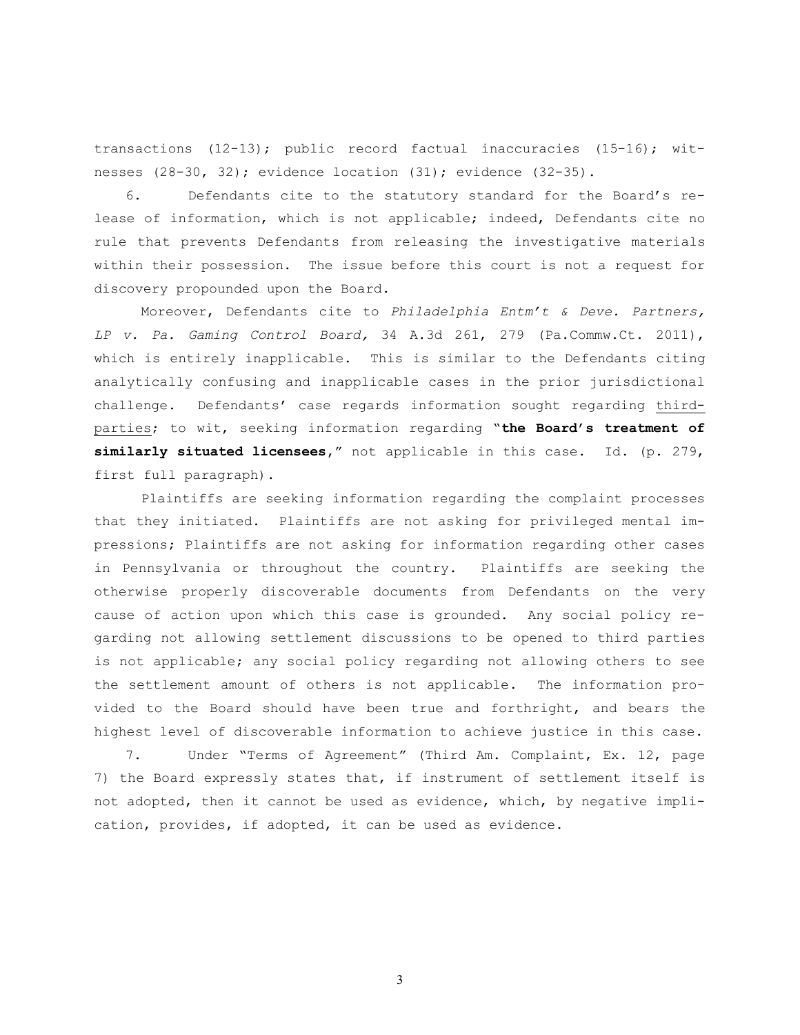transactions (12-13); public record factual inaccuracies (15-16); witnesses (28-30, 32); evidence location (31); evidence (32-35).

6. Defendants cite to the statutory standard for the Board's release of information, which is not applicable; indeed, Defendants cite no rule that prevents Defendants from releasing the investigative materials within their possession. The issue before this court is not a request for discovery propounded upon the Board.

Moreover, Defendants cite to *Philadelphia Entm't & Deve. Partners, LP v. Pa. Gaming Control Board,* 34 A.3d 261, 279 (Pa.Commw.Ct. 2011), which is entirely inapplicable. This is similar to the Defendants citing analytically confusing and inapplicable cases in the prior jurisdictional challenge. Defendants' case regards information sought regarding thirdparties; to wit, seeking information regarding "**the Board's treatment of similarly situated licensees,**" not applicable in this case. Id. (p. 279, first full paragraph).

Plaintiffs are seeking information regarding the complaint processes that they initiated. Plaintiffs are not asking for privileged mental impressions; Plaintiffs are not asking for information regarding other cases in Pennsylvania or throughout the country. Plaintiffs are seeking the otherwise properly discoverable documents from Defendants on the very cause of action upon which this case is grounded. Any social policy regarding not allowing settlement discussions to be opened to third parties is not applicable; any social policy regarding not allowing others to see the settlement amount of others is not applicable. The information provided to the Board should have been true and forthright, and bears the highest level of discoverable information to achieve justice in this case.

7. Under "Terms of Agreement" (Third Am. Complaint, Ex. 12, page 7) the Board expressly states that, if instrument of settlement itself is not adopted, then it cannot be used as evidence, which, by negative implication, provides, if adopted, it can be used as evidence.

3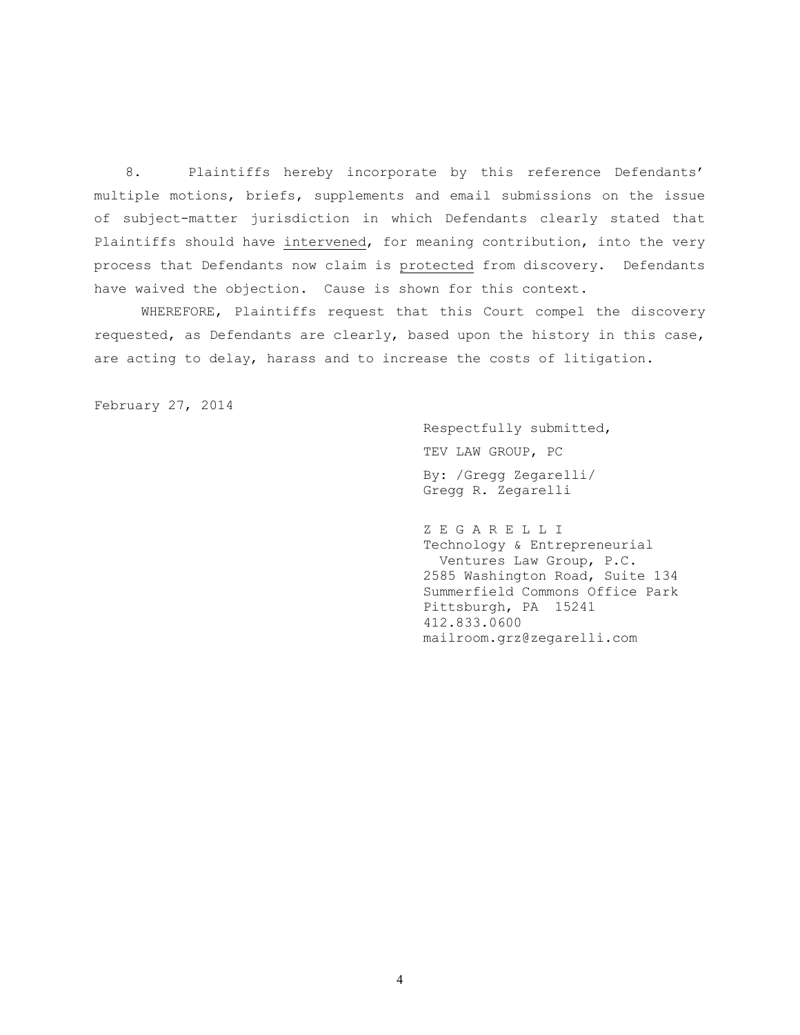8. Plaintiffs hereby incorporate by this reference Defendants' multiple motions, briefs, supplements and email submissions on the issue of subject-matter jurisdiction in which Defendants clearly stated that Plaintiffs should have intervened, for meaning contribution, into the very process that Defendants now claim is protected from discovery. Defendants have waived the objection. Cause is shown for this context.

WHEREFORE, Plaintiffs request that this Court compel the discovery requested, as Defendants are clearly, based upon the history in this case, are acting to delay, harass and to increase the costs of litigation.

February 27, 2014

Respectfully submitted, TEV LAW GROUP, PC By: /Gregg Zegarelli/ Gregg R. Zegarelli

Z E G A R E L L I Technology & Entrepreneurial Ventures Law Group, P.C. 2585 Washington Road, Suite 134 Summerfield Commons Office Park Pittsburgh, PA 15241 412.833.0600 mailroom.grz@zegarelli.com

4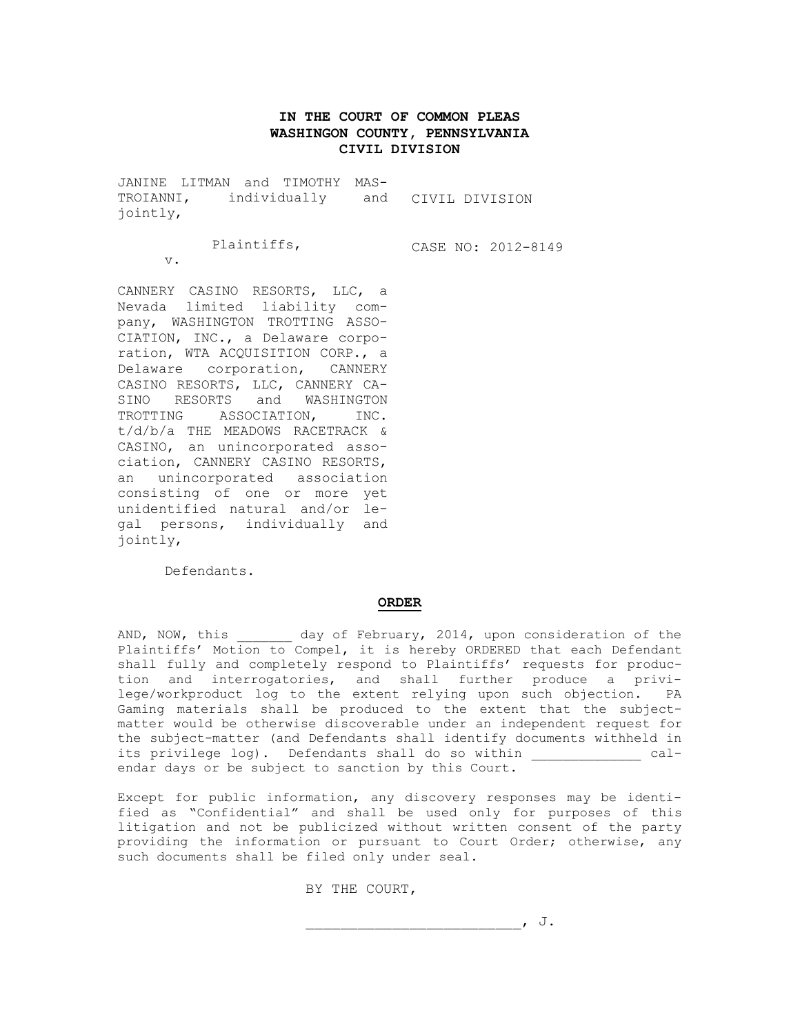# **IN THE COURT OF COMMON PLEAS WASHINGON COUNTY, PENNSYLVANIA CIVIL DIVISION**

JANINE LITMAN and TIMOTHY MAS-TROIANNI, individually and CIVIL DIVISION jointly,

Plaintiffs,

CASE NO: 2012-8149

 $\overline{v}$ .

CANNERY CASINO RESORTS, LLC, a Nevada limited liability company, WASHINGTON TROTTING ASSO-CIATION, INC., a Delaware corporation, WTA ACQUISITION CORP., a Delaware corporation, CANNERY CASINO RESORTS, LLC, CANNERY CA-SINO RESORTS and WASHINGTON TROTTING ASSOCIATION, INC. t/d/b/a THE MEADOWS RACETRACK & CASINO, an unincorporated association, CANNERY CASINO RESORTS, an unincorporated association consisting of one or more yet unidentified natural and/or legal persons, individually and jointly,

Defendants.

## **ORDER**

AND, NOW, this day of February, 2014, upon consideration of the Plaintiffs' Motion to Compel, it is hereby ORDERED that each Defendant shall fully and completely respond to Plaintiffs' requests for production and interrogatories, and shall further produce a privilege/workproduct log to the extent relying upon such objection. PA Gaming materials shall be produced to the extent that the subjectmatter would be otherwise discoverable under an independent request for the subject-matter (and Defendants shall identify documents withheld in its privilege log). Defendants shall do so within  $cal$ endar days or be subject to sanction by this Court.

Except for public information, any discovery responses may be identified as "Confidential" and shall be used only for purposes of this litigation and not be publicized without written consent of the party providing the information or pursuant to Court Order; otherwise, any such documents shall be filed only under seal.

BY THE COURT,

\_\_\_\_\_\_\_\_\_\_\_\_\_\_\_\_\_\_\_\_\_\_\_\_\_, J.